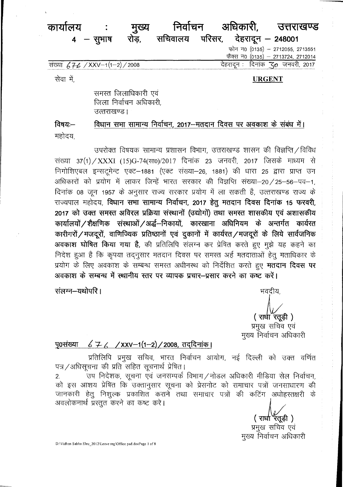#### कार्यालय निर्वाचन अधिकारी, मुख्य उत्तराखण्ड रोड़,  $4 - \frac{1}{2}$ भाष

सचिवालय परिसर, देहरादून - 248001

देहरादन :

फोन न0 (0135) - 2712055, 2713551 फैक्स न0 (0135) - 2713724, 2712014 दिनांक "ट्र $\bm{o}$  जनवरी, 2017

संख्या 67€ / XXV-1(1-2) / 2008

सेवा में.

### **URGENT**

समस्त जिलाधिकारी एवं जिला निर्वाचन अधिकारी. उत्तराखण्ड।

विषय:— विधान सभा सामान्य निर्वाचन, 2017–मतदान दिवस पर अवकाश के संबंध में। महोदय

उपरोक्त विषयक सामान्य प्रशासन विभाग, उत्तराखण्ड शासन की विज्ञप्ति / विविध संख्या 37(1) / XXXI (15)G-74(सा0)/2017 दिनांक 23 जनवरी, 2017 जिसके माध्यम से निगोशिएबल इन्सट्रमेन्ट एक्ट-1881 (एक्ट संख्या-26, 1881) की धारा 25 द्वारा प्राप्त उन अधिकारों को प्रयोग में लाकर जिन्हें भारत सरकार की विज्ञप्ति संख्या-20 / 25-56-पव-1, दिनांक 08 जून 1957 के अनुसार राज्य सरकार प्रयोग में ला सकती है, उत्तराखण्ड राज्य के राज्यपाल महोदय, विधान सभा सामान्य निर्वाचन, 2017 हेतु मतदान दिवस दिनांक 15 फरवरी, 2017 को उक्त समस्त अविरल प्रक्रिया संस्थानों (उद्योगों) तथा समस्त शासकीय एवं अशासकीय कार्यालयों / शैक्षणिक संस्थाओं / अर्द्ध-निकायों, कारखाना अधिनियम के अन्तर्गत कार्यरत कारीगरों / मजदूरों, वाणिज्यिक प्रतिष्ठानों एवं दुकानों में कार्यरत / मजदूरों के लिये सार्वजनिक अवकाश घोषित किया गया है, की प्रतिलिपि संलग्न कर प्रेषित करते हुए मुझे यह कहने का निदेश हुआ है कि कृपया तद्नुसार मतदान दिवस पर समस्त अर्ह मतदाताओं हेतू मताधिकार के प्रयोग के लिए अवकाश के सम्बन्ध समस्त अधीनस्थ को निर्देशित करते हुए **मतदान दिवस पर** अवकाश के सम्बन्ध में स्थानीय स्तर पर व्यापक प्रचार–प्रसार करने का कष्ट करें।

संलग्न-यथोपरि ।

भवदीय. (रार्धा रतूड़ी) प्रमुख सचिव एवं मुख्य निर्वाचन अधिकारी

#### $676$  /xxv-1(1-2)/2008, तददिनांक। **पु0संख्या**

प्रतिलिपि प्रमुख सचिव, भारत निर्वाचन आयोग, नई दिल्ली को उक्त वर्णित पत्र / अधिसूचना की प्रति सहित सूचनार्थ प्रेषित।

ू<br>उप निदेशक, सूचना एवं जनसम्पर्क विभाग∕नोडल अधिकारी मीडिया सेल निर्वाचन,  $2.$ को इस आशय प्रेषित कि उक्तानुसार सूचना को प्रेसनोट को समाचार पत्रों जनसाधारण की जानकारी हेतु निशुल्क प्रकाशित कराने तथा समाचार पत्रों की कटिंग अधोहस्तक्षरी के अवलोकनार्थ प्रस्तुत करने का कष्ट करे।

( राधा रॅतूड़ी) प्रमुख सचिव एवं मुख्य निर्वाचन अधिकारी

D:\Vidhan Sabha Elec\_2012\Leave reg\Office pad.docPage 1 of 8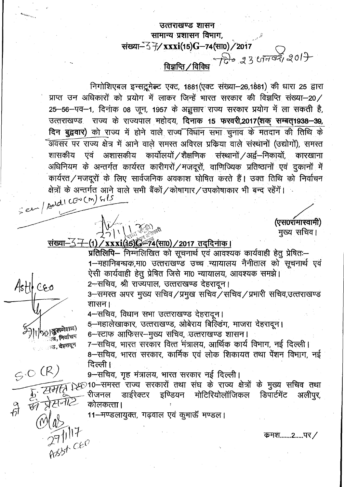# उत्तराखण्ड शासन सामान्य प्रशासन विभाग, संख्या-57/xxxi(15)G-74(सा0)/2017  $\frac{Q}{\tan \theta}$  /  $\frac{Q}{d\theta}$  23  $\frac{Q}{d\theta}$  2017

निगोशिएबल इन्सट्रूमेल्ट एक्ट, 1881 (एक्ट संख्या-26,1881) की धारा 25 द्वारा प्राप्त उन अधिकारों को प्रयोग में लाकर जिन्हें भारत सरकार की विज्ञप्ति संख्या-20/ 25-56-पव-1, दिनांक 08 जून, 1957 के अज़ुसार राज्य सरकार प्रयोग में ला सकती है, उत्तराखण्ड राज्य के राज्यपाल महोदय, दिनाक 15 फरवरी,2017(शक सम्बत1938-39, दिन बुद्ववार) को राज्य में होने वाले राज्य विघान सभा चुनाव के मतदान की तिथि के .<br>अवसर पर राज्य क्षेत्र में आने वाले समस्त अविरल प्रक्रिया वाले संस्थानों (उद्योगों), समस्त शासकीय एवं अशासकीय कार्योलयों /शैक्षणिक संस्थानों /अर्द्व-निकायों, कारखाना अधिनियम के अन्तर्गत कार्यरत कारीगरों / मजदूरों, वाणिज्यिक प्रतिष्ठानों एवं दुकानों में कार्यरत/मजदूरों के लिए सार्वजनिक अवकाश घोषित करते हैं। उक्त तिथि को निर्वाचन क्षेत्रों के अन्तर्गत आने वाले सभी बैंकों / कोषागार / उपकोषाकार भी बन्द रहेंगें। Seen/Add1 CONCM) GPT

(एस0रामास्वामी) मुख्य सचिव।

### <u>संख्या-37</u> <u>-(1) / xxxi(15) - 74(सा0) / 2017 तददिनाक ।</u>

 $\bigcup_{n=1}^{\infty} \bigcup_{\alpha \in \mathbb{N}} \bigcup_{\alpha \in \mathbb{N}} \bigotimes_{\alpha \in \mathbb{N}} \mathbb{A}^{\alpha}$ 

Asth<sub>ceo</sub>

 $|\psi\rangle$ । अुक्तगेशल)

्रष्ट, निर्वाचन

 $27117$ <br> $27117$ <br> $8856$  CEO

प्रतिलिपि– निम्नलिखित को सूचनार्थ एवं आवश्यक कार्यवाही हेतु प्रेषितः– 1-महानिबन्धक,मा0 उत्तराखण्ड उच्च न्यायालय नैनीताल को सूचनार्थ एवं ऐसी कार्यवाही हेतु प्रेषित जिसे मा0 न्यायालय, आवश्यक समझे।

2-सचिव, श्री राज्यपाल, उत्तराखण्ड देहरादून।

3-समस्त अपर मुख्य सचिव/प्रमुख सचिव/सचिव/प्रभारी सचिव,उत्तराखण्ड शासन।

4-सचिव, विधान सभा उत्तराखण्ड देहरादून।

5—महालेखाकार, उत्तराखण्ड, ओबेराय बिल्डिंग, माजरा देहरादून।

6-स्टाफ आफिसर-मुख्य सचिव, उत्तराखण्ड शासन।

7-सचिव, भारत सरकार वित्त मंत्रालय, आर्थिक कार्य विभाग, नई दिल्ली।

 $\epsilon > 0$  (R)  $\epsilon$  विल्ली ।<br> $\epsilon > 0$  (R) विल्ली ।<br> $\epsilon > 0$  (R) 9-सचिव, गृह मंत्रालय, भारत सरकार नई दिल्ली ।<br> $\epsilon > 0$  (R) 9-सचिव, गृह मंत्रालय, भारत सरकार नई दिल्ली ।<br> $\epsilon > 0$  (R) 9-समस्त राज्य सरकारों तथा संघ के राज्य क्षेत्रो

11-मण्डलायुक्त, गढ़वाल एवं कुमाऊँ मण्डल।

कमश.......2.....पर **/**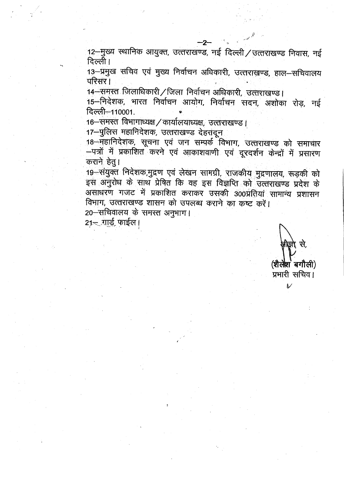12-मुख्य स्थानिक आयुक्त, उत्तराखण्ड, नई दिल्ली / उत्तराखण्ड निवास, नई दिल्ली।

13-प्रमुख सचिव एवं मुख्य निर्वाचन अधिकारी, उत्तराखण्ड, हाल-सचिवालय परिसर।

14-समस्त जिलाधिकारी/जिला निर्वाचन अधिकारी, उत्तराखण्ड।

15-निदेशक, भारत निर्वाचन आयोग, निर्वाचन सदन, अशोका रोड़, नई दिल्ली-110001.

16-समस्त विभागाध्यक्ष / कार्यालयाध्यक्ष, उत्तराखण्ड।

17-पुलिस महानिदेशक, उत्तराखण्ड देहरादून

18 महानिदेशक, सूचना एवं जन सम्पर्क विभाग, उत्तराखण्ड को समाचार –पत्रों में प्रकाशित करने एवं आकाशवाणी एवं दूरदर्शन केन्द्रों में प्रसारण कराने हेतु।

19 संयुक्त निर्देशक,मुद्रण एवं लेखन सामग्री, राजकीय मुद्रणालय, रूड़की को इस अनुरोध के साथ प्रेषित कि वह इस विज्ञप्ति को उत्तराखण्ड प्रदेश के असाधरण गजट में प्रकाशित कराकर उसकी 300प्रतियां सामान्य प्रशासन विभाग, उत्तराखण्ड शासन को उपलब्ध कराने का कष्ट करें।

20-सचिवालय के समस्त अनुभाग।

 $21 - \sqrt{115}$ , फाईल।

(शैलेश बगौली)

प्रभारी सचिव।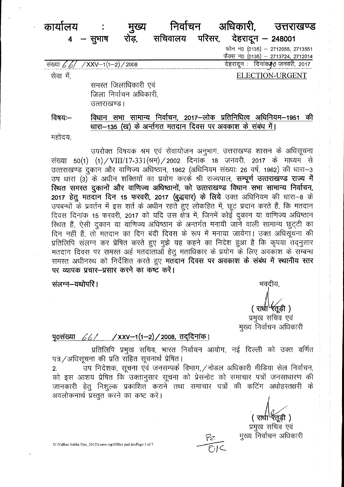#### निर्वाचन अधिकारी, कार्यालय मुख्य उत्तराखण्ड सचिवालय परिसर, देहरादून — 248001 रोड, — सुभाष  $\overline{\mathbf{4}}$ फोन न0 (0135) - 2712055, 2713551

फैक्स न0 (0135) – 2713724, 2712014 देहरादून : दिनांक#ृ∂ जनवरी, 2017

संख्या  $66$  $/$ XXV-1(1-2) / 2008

ELECTION-URGENT

सेवा में.

समस्त जिलाधिकारी एवं जिला निर्वाचन अधिकारी. उत्तराखण्ड।

विधान सभा सामान्य निर्वाचन, 2017–लोक प्रतिनिधित्व अधिनियम–1951 की विषय:— धारा-135 (ख) के अर्न्तगत मतदान दिवस पर अवकाश के संबंध में।

महोदय,

उपरोक्त विषयक श्रम एवं सेवायोजन अनुभाग, उत्तराखण्ड शासन के अधिसूचना संख्या 50(1) (1)/VIII/17-331(श्रम)/2002 दिनांक 18 जनवरी, 2017 के माध्यम से उत्तराखण्ड दुकान और वाणिज्य अधिष्ठान, 1962 (अधिनियम संख्याः 26 वर्ष, 1962) की धारा-3 उप धारा (3) के अधीन शक्तियों का प्रयोग करके श्री राज्यपाल, सम्पूर्ण उत्तराखण्ड राज्य में स्थित समस्त दुकानों और वाणिज्य अधिष्ठानों, को उत्तराखण्ड विधान सभा सामान्य निर्वाचन, 2017 हेतू मतदान दिन 15 फरवरी, 2017 (बुद्धवार) के लिये उक्त अधिनियम की धारा-8 के उपबन्धों के प्रवर्तन में इस शर्त के अधीन रहते हुए लोकहित में, छूट प्रदान करते हैं, कि मतदान दिवस दिनांक 15 फरवरी, 2017 को यदि उस क्षेत्र में, जिनमें कोई दुकान या वाणिज्य अधिष्ठान स्थित हैं, ऐसी दुकान या वाणिज्य अधिष्ठान के अन्तर्गत मनायी जाने वाली सामान्य छूट्टी का दिन नहीं हैं, तो मतदान का दिन बंदी दिवस के रूप में मनाया जायेगा। उक्त अधिसूचना की प्रतिलिपि संलग्न कर प्रेषित करते हुए मुझे यह कहने का निदेश हुआ है कि कृपया तदनुसार मतदान दिवस पर समस्त अर्ह मतदाताओं हेतू मताधिकार के प्रयोग के लिए अवकाश के सम्बन्ध समस्त अधीनस्थ को निर्देशित करते हुए मतदान दिवस पर अवकाश के संबंध में स्थानीय स्तर पर व्यापक प्रचार-प्रसार करने का कष्ट करें।

संलग्न-यथोपरि।

भवदीय,

(राधा'रतूड़ी) प्रमुख सचिव एवं मुख्य निर्वाचन अधिकारी

## पृ0संख्या 66/ / XXV-1(1-2)/2008, तददिनांक।

प्रतिलिपि प्रमुख सचिव, भारत निर्वाचन आयोग, नई दिल्ली को उक्त वर्णित पत्र / अधिसूचना की प्रति सहित सूचनार्थ प्रेषित।

.<br>उप निदेशक, सूचना एवं जनसम्पर्क विभाग, / नोडल अधिकारी मीडिया सेल निर्वाचन,  $2.$ को इस आशय प्रेषित कि उक्तानुसार सूचना को प्रेसनोट को समाचार पत्रों जनसाधारण की जानकारी हेतु निशुल्क प्रकाशित कराने तथा समाचार पत्रों की कटिंग अधोहस्तक्षरी के अवलोकनार्थ प्रस्तुत करने का कष्ट करे।

ॅरतूडी <mark>)</mark> ( राधा

प्रमुख सचिव एवं मुख्य निर्वाचन अधिकारी

D:\Vidhan Sabha Elec\_2012\Leave reg\Office pad.docPage 1 of 7